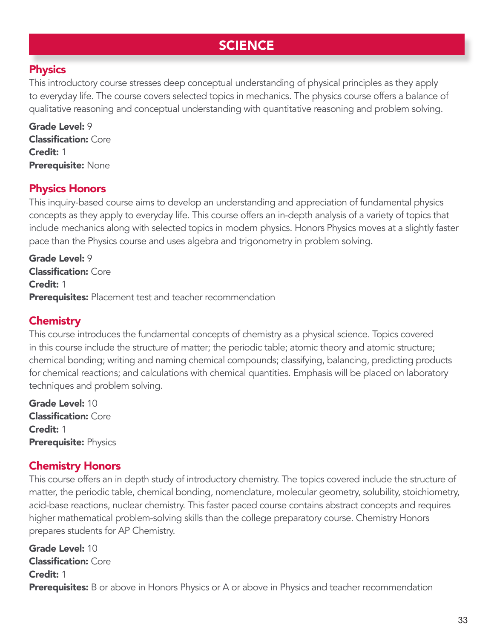# **SCIENCE**

#### **Physics**

This introductory course stresses deep conceptual understanding of physical principles as they apply to everyday life. The course covers selected topics in mechanics. The physics course offers a balance of qualitative reasoning and conceptual understanding with quantitative reasoning and problem solving.

Grade Level: 9 **Classification: Core** Credit: 1 Prerequisite: None

#### Physics Honors

This inquiry-based course aims to develop an understanding and appreciation of fundamental physics concepts as they apply to everyday life. This course offers an in-depth analysis of a variety of topics that include mechanics along with selected topics in modern physics. Honors Physics moves at a slightly faster pace than the Physics course and uses algebra and trigonometry in problem solving.

Grade Level: 9 Classification: Core Credit: 1 **Prerequisites:** Placement test and teacher recommendation

#### **Chemistry**

This course introduces the fundamental concepts of chemistry as a physical science. Topics covered in this course include the structure of matter; the periodic table; atomic theory and atomic structure; chemical bonding; writing and naming chemical compounds; classifying, balancing, predicting products for chemical reactions; and calculations with chemical quantities. Emphasis will be placed on laboratory techniques and problem solving.

Grade Level: 10 Classification: Core Credit: 1 **Prerequisite: Physics** 

### Chemistry Honors

This course offers an in depth study of introductory chemistry. The topics covered include the structure of matter, the periodic table, chemical bonding, nomenclature, molecular geometry, solubility, stoichiometry, acid-base reactions, nuclear chemistry. This faster paced course contains abstract concepts and requires higher mathematical problem-solving skills than the college preparatory course. Chemistry Honors prepares students for AP Chemistry.

Grade Level: 10 Classification: Core Credit: 1 **Prerequisites:** B or above in Honors Physics or A or above in Physics and teacher recommendation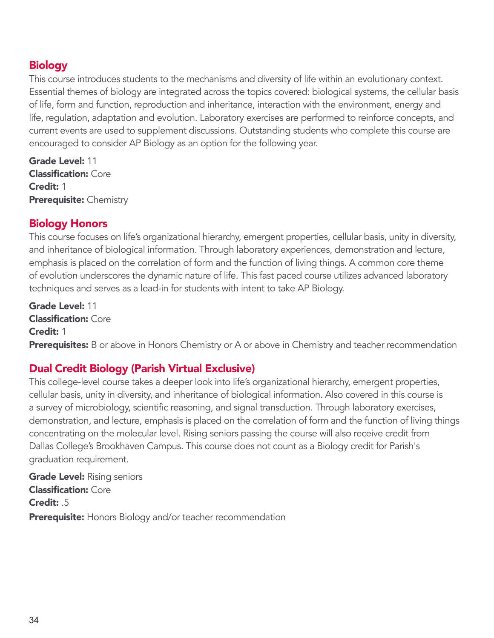#### **Biology**

This course introduces students to the mechanisms and diversity of life within an evolutionary context. Essential themes of biology are integrated across the topics covered: biological systems, the cellular basis of life, form and function, reproduction and inheritance, interaction with the environment, energy and life, regulation, adaptation and evolution. Laboratory exercises are performed to reinforce concepts, and current events are used to supplement discussions. Outstanding students who complete this course are encouraged to consider AP Biology as an option for the following year.

Grade Level: 11 Classification: Core Credit: 1 Prerequisite: Chemistry

### Biology Honors

This course focuses on life's organizational hierarchy, emergent properties, cellular basis, unity in diversity, and inheritance of biological information. Through laboratory experiences, demonstration and lecture, emphasis is placed on the correlation of form and the function of living things. A common core theme of evolution underscores the dynamic nature of life. This fast paced course utilizes advanced laboratory techniques and serves as a lead-in for students with intent to take AP Biology.

Grade Level: 11 Classification: Core Credit: 1 **Prerequisites:** B or above in Honors Chemistry or A or above in Chemistry and teacher recommendation

## Dual Credit Biology (Parish Virtual Exclusive)

This college-level course takes a deeper look into life's organizational hierarchy, emergent properties, cellular basis, unity in diversity, and inheritance of biological information. Also covered in this course is a survey of microbiology, scientific reasoning, and signal transduction. Through laboratory exercises, demonstration, and lecture, emphasis is placed on the correlation of form and the function of living things concentrating on the molecular level. Rising seniors passing the course will also receive credit from Dallas College's Brookhaven Campus. This course does not count as a Biology credit for Parish's graduation requirement.

**Grade Level: Rising seniors** Classification: Core Credit: .5 **Prerequisite:** Honors Biology and/or teacher recommendation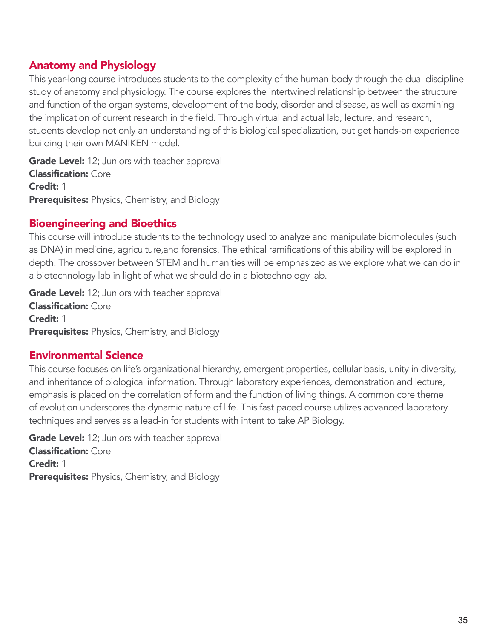### Anatomy and Physiology

This year-long course introduces students to the complexity of the human body through the dual discipline study of anatomy and physiology. The course explores the intertwined relationship between the structure and function of the organ systems, development of the body, disorder and disease, as well as examining the implication of current research in the field. Through virtual and actual lab, lecture, and research, students develop not only an understanding of this biological specialization, but get hands-on experience building their own MANIKEN model.

**Grade Level:** 12; Juniors with teacher approval Classification: Core Credit: 1 **Prerequisites:** Physics, Chemistry, and Biology

#### Bioengineering and Bioethics

This course will introduce students to the technology used to analyze and manipulate biomolecules (such as DNA) in medicine, agriculture,and forensics. The ethical ramifications of this ability will be explored in depth. The crossover between STEM and humanities will be emphasized as we explore what we can do in a biotechnology lab in light of what we should do in a biotechnology lab.

**Grade Level:** 12; Juniors with teacher approval Classification: Core Credit: 1 **Prerequisites:** Physics, Chemistry, and Biology

### Environmental Science

This course focuses on life's organizational hierarchy, emergent properties, cellular basis, unity in diversity, and inheritance of biological information. Through laboratory experiences, demonstration and lecture, emphasis is placed on the correlation of form and the function of living things. A common core theme of evolution underscores the dynamic nature of life. This fast paced course utilizes advanced laboratory techniques and serves as a lead-in for students with intent to take AP Biology.

Grade Level: 12; Juniors with teacher approval Classification: Core Credit: 1 **Prerequisites:** Physics, Chemistry, and Biology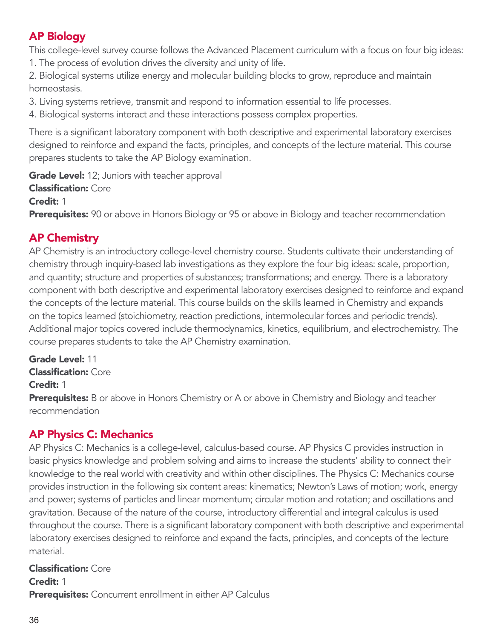## AP Biology

This college-level survey course follows the Advanced Placement curriculum with a focus on four big ideas: 1. The process of evolution drives the diversity and unity of life.

2. Biological systems utilize energy and molecular building blocks to grow, reproduce and maintain homeostasis.

3. Living systems retrieve, transmit and respond to information essential to life processes.

4. Biological systems interact and these interactions possess complex properties.

There is a significant laboratory component with both descriptive and experimental laboratory exercises designed to reinforce and expand the facts, principles, and concepts of the lecture material. This course prepares students to take the AP Biology examination.

Grade Level: 12; Juniors with teacher approval Classification: Core Credit: 1 **Prerequisites:** 90 or above in Honors Biology or 95 or above in Biology and teacher recommendation

### AP Chemistry

AP Chemistry is an introductory college-level chemistry course. Students cultivate their understanding of chemistry through inquiry-based lab investigations as they explore the four big ideas: scale, proportion, and quantity; structure and properties of substances; transformations; and energy. There is a laboratory component with both descriptive and experimental laboratory exercises designed to reinforce and expand the concepts of the lecture material. This course builds on the skills learned in Chemistry and expands on the topics learned (stoichiometry, reaction predictions, intermolecular forces and periodic trends). Additional major topics covered include thermodynamics, kinetics, equilibrium, and electrochemistry. The course prepares students to take the AP Chemistry examination.

Grade Level: 11 Classification: Core Credit: 1 **Prerequisites:** B or above in Honors Chemistry or A or above in Chemistry and Biology and teacher recommendation

### AP Physics C: Mechanics

AP Physics C: Mechanics is a college-level, calculus-based course. AP Physics C provides instruction in basic physics knowledge and problem solving and aims to increase the students' ability to connect their knowledge to the real world with creativity and within other disciplines. The Physics C: Mechanics course provides instruction in the following six content areas: kinematics; Newton's Laws of motion; work, energy and power; systems of particles and linear momentum; circular motion and rotation; and oscillations and gravitation. Because of the nature of the course, introductory differential and integral calculus is used throughout the course. There is a significant laboratory component with both descriptive and experimental laboratory exercises designed to reinforce and expand the facts, principles, and concepts of the lecture material.

Classification: Core Credit: 1 **Prerequisites:** Concurrent enrollment in either AP Calculus